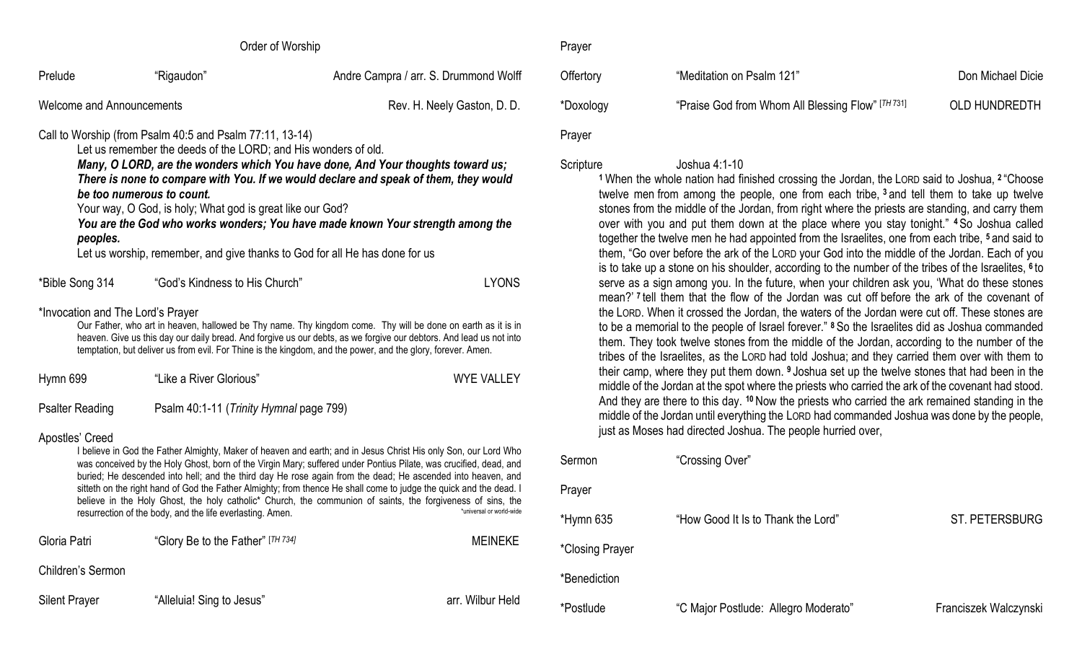|                                                                                                                                                                                                                                                                                                                                                                                                                                                                                                                                                                                                             | Order of Worship                                         |                                       | Prayer          |                                                                                                                                                                                                                                                                    |  |
|-------------------------------------------------------------------------------------------------------------------------------------------------------------------------------------------------------------------------------------------------------------------------------------------------------------------------------------------------------------------------------------------------------------------------------------------------------------------------------------------------------------------------------------------------------------------------------------------------------------|----------------------------------------------------------|---------------------------------------|-----------------|--------------------------------------------------------------------------------------------------------------------------------------------------------------------------------------------------------------------------------------------------------------------|--|
| Prelude                                                                                                                                                                                                                                                                                                                                                                                                                                                                                                                                                                                                     | "Rigaudon"                                               | Andre Campra / arr. S. Drummond Wolff | Offertory       | "Meditation on                                                                                                                                                                                                                                                     |  |
| <b>Welcome and Announcements</b>                                                                                                                                                                                                                                                                                                                                                                                                                                                                                                                                                                            |                                                          | Rev. H. Neely Gaston, D. D.           | *Doxology       | "Praise God fro                                                                                                                                                                                                                                                    |  |
|                                                                                                                                                                                                                                                                                                                                                                                                                                                                                                                                                                                                             | Call to Worship (from Psalm 40:5 and Psalm 77:11, 13-14) |                                       | Prayer          |                                                                                                                                                                                                                                                                    |  |
| Let us remember the deeds of the LORD; and His wonders of old.<br>Many, O LORD, are the wonders which You have done, And Your thoughts toward us;<br>There is none to compare with You. If we would declare and speak of them, they would<br>be too numerous to count.<br>Your way, O God, is holy; What god is great like our God?<br>You are the God who works wonders; You have made known Your strength among the<br>peoples.<br>Let us worship, remember, and give thanks to God for all He has done for us                                                                                            |                                                          |                                       |                 | Joshua 4:1-10<br>Scripture<br><sup>1</sup> When the whole nation had fi<br>twelve men from among the p<br>stones from the middle of the J<br>over with you and put them d<br>together the twelve men he had<br>them, "Go over before the ark of                    |  |
| *Bible Song 314                                                                                                                                                                                                                                                                                                                                                                                                                                                                                                                                                                                             | "God's Kindness to His Church"                           | <b>LYONS</b>                          |                 | is to take up a stone on his sho<br>serve as a sign among you. In<br>mean?' I tell them that the flow                                                                                                                                                              |  |
| *Invocation and The Lord's Prayer<br>Our Father, who art in heaven, hallowed be Thy name. Thy kingdom come. Thy will be done on earth as it is in<br>heaven. Give us this day our daily bread. And forgive us our debts, as we forgive our debtors. And lead us not into<br>temptation, but deliver us from evil. For Thine is the kingdom, and the power, and the glory, forever. Amen.                                                                                                                                                                                                                    |                                                          |                                       |                 | the LORD. When it crossed the<br>to be a memorial to the people<br>them. They took twelve stones<br>tribes of the Israelites, as the I                                                                                                                             |  |
| Hymn 699                                                                                                                                                                                                                                                                                                                                                                                                                                                                                                                                                                                                    | "Like a River Glorious"                                  | <b>WYE VALLEY</b>                     |                 | their camp, where they put the<br>middle of the Jordan at the spot<br>And they are there to this day.<br>middle of the Jordan until every<br>just as Moses had directed Jos                                                                                        |  |
| <b>Psalter Reading</b>                                                                                                                                                                                                                                                                                                                                                                                                                                                                                                                                                                                      | Psalm 40:1-11 (Trinity Hymnal page 799)                  |                                       |                 |                                                                                                                                                                                                                                                                    |  |
| Apostles' Creed<br>I believe in God the Father Almighty, Maker of heaven and earth; and in Jesus Christ His only Son, our Lord Who<br>was conceived by the Holy Ghost, born of the Virgin Mary; suffered under Pontius Pilate, was crucified, dead, and<br>buried; He descended into hell; and the third day He rose again from the dead; He ascended into heaven, and<br>sitteth on the right hand of God the Father Almighty; from thence He shall come to judge the quick and the dead. I<br>believe in the Holy Ghost, the holy catholic* Church, the communion of saints, the forgiveness of sins, the |                                                          |                                       | Sermon          | "Crossing Ove                                                                                                                                                                                                                                                      |  |
|                                                                                                                                                                                                                                                                                                                                                                                                                                                                                                                                                                                                             |                                                          |                                       | Prayer          |                                                                                                                                                                                                                                                                    |  |
| resurrection of the body, and the life everlasting. Amen.<br>'universal or world-wide                                                                                                                                                                                                                                                                                                                                                                                                                                                                                                                       |                                                          | *Hymn 635                             | "How Good It I  |                                                                                                                                                                                                                                                                    |  |
| Gloria Patri                                                                                                                                                                                                                                                                                                                                                                                                                                                                                                                                                                                                | "Glory Be to the Father" [TH 734]                        | <b>MEINEKE</b>                        | *Closing Prayer |                                                                                                                                                                                                                                                                    |  |
| Children's Sermon                                                                                                                                                                                                                                                                                                                                                                                                                                                                                                                                                                                           |                                                          |                                       | *Benediction    |                                                                                                                                                                                                                                                                    |  |
| <b>Silent Prayer</b>                                                                                                                                                                                                                                                                                                                                                                                                                                                                                                                                                                                        | "Alleluia! Sing to Jesus"                                | arr. Wilbur Held                      | $*n = 411$      | $0.011$ $\leq$ $\leq$ $\leq$ $\leq$ $\leq$ $\leq$ $\leq$ $\leq$ $\leq$ $\leq$ $\leq$ $\leq$ $\leq$ $\leq$ $\leq$ $\leq$ $\leq$ $\leq$ $\leq$ $\leq$ $\leq$ $\leq$ $\leq$ $\leq$ $\leq$ $\leq$ $\leq$ $\leq$ $\leq$ $\leq$ $\leq$ $\leq$ $\leq$ $\leq$ $\leq$ $\le$ |  |

on on Psalm 121" Don Michael Dicie od from Whom All Blessing Flow" [TH 731] OLD HUNDREDTH

**<sup>1</sup>**When the whole nation had finished crossing the Jordan, the LORD said to Joshua, **<sup>2</sup>** "Choose the people, one from each tribe, <sup>3</sup> and tell them to take up twelve the Jordan, from right where the priests are standing, and carry them em down at the place where you stay tonight." <sup>4</sup> So Joshua called the had appointed from the Israelites, one from each tribe, <sup>5</sup> and said to them, the Lord your God into the middle of the Jordan. Each of you is to take up a stone on his shoulder, according to the number of the tribes of the Israelites, **<sup>6</sup>** to bu. In the future, when your children ask you, 'What do these stones te flow of the Jordan was cut off before the ark of the covenant of d the Jordan, the waters of the Jordan were cut off. These stones are eople of Israel forever." <sup>8</sup> So the Israelites did as Joshua commanded tones from the middle of the Jordan, according to the number of the the LORD had told Joshua; and they carried them over with them to it them down. <sup>9</sup> Joshua set up the twelve stones that had been in the spot where the priests who carried the ark of the covenant had stood. day. <sup>10</sup> Now the priests who carried the ark remained standing in the everything the LORD had commanded Joshua was done by the people, d Joshua. The people hurried over,

| Sermon          | "Crossing Over"                      |                       |
|-----------------|--------------------------------------|-----------------------|
| Prayer          |                                      |                       |
| *Hymn 635       | "How Good It Is to Thank the Lord"   | ST. PETERSBURG        |
| *Closing Prayer |                                      |                       |
| *Benediction    |                                      |                       |
| *Postlude       | "C Major Postlude: Allegro Moderato" | Franciszek Walczynski |